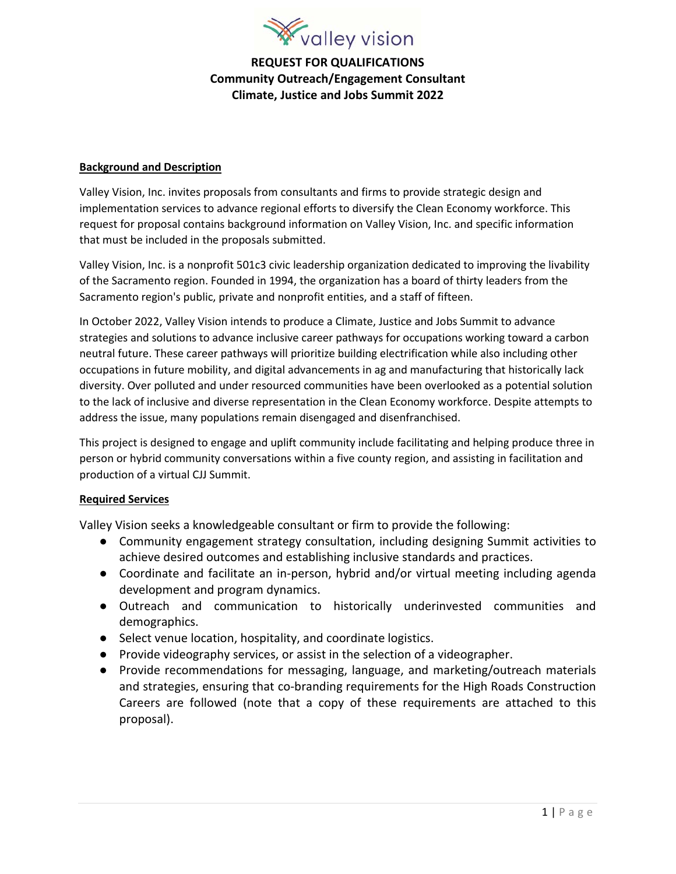

## **REQUEST FOR QUALIFICATIONS Community Outreach/Engagement Consultant Climate, Justice and Jobs Summit 2022**

### **Background and Description**

Valley Vision, Inc. invites proposals from consultants and firms to provide strategic design and implementation services to advance regional efforts to diversify the Clean Economy workforce. This request for proposal contains background information on Valley Vision, Inc. and specific information that must be included in the proposals submitted.

Valley Vision, Inc. is a nonprofit 501c3 civic leadership organization dedicated to improving the livability of the Sacramento region. Founded in 1994, the organization has a board of thirty leaders from the Sacramento region's public, private and nonprofit entities, and a staff of fifteen.

In October 2022, Valley Vision intends to produce a Climate, Justice and Jobs Summit to advance strategies and solutions to advance inclusive career pathways for occupations working toward a carbon neutral future. These career pathways will prioritize building electrification while also including other occupations in future mobility, and digital advancements in ag and manufacturing that historically lack diversity. Over polluted and under resourced communities have been overlooked as a potential solution to the lack of inclusive and diverse representation in the Clean Economy workforce. Despite attempts to address the issue, many populations remain disengaged and disenfranchised.

This project is designed to engage and uplift community include facilitating and helping produce three in person or hybrid community conversations within a five county region, and assisting in facilitation and production of a virtual CJJ Summit.

#### **Required Services**

Valley Vision seeks a knowledgeable consultant or firm to provide the following:

- Community engagement strategy consultation, including designing Summit activities to achieve desired outcomes and establishing inclusive standards and practices.
- Coordinate and facilitate an in-person, hybrid and/or virtual meeting including agenda development and program dynamics.
- Outreach and communication to historically underinvested communities and demographics.
- Select venue location, hospitality, and coordinate logistics.
- Provide videography services, or assist in the selection of a videographer.
- Provide recommendations for messaging, language, and marketing/outreach materials and strategies, ensuring that co-branding requirements for the High Roads Construction Careers are followed (note that a copy of these requirements are attached to this proposal).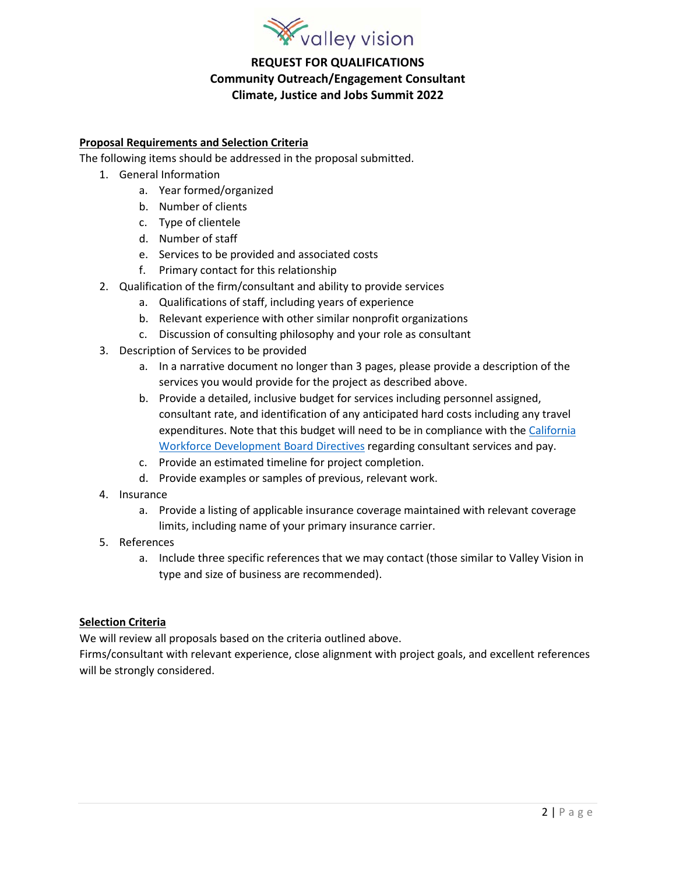

## **REQUEST FOR QUALIFICATIONS Community Outreach/Engagement Consultant Climate, Justice and Jobs Summit 2022**

### **Proposal Requirements and Selection Criteria**

The following items should be addressed in the proposal submitted.

- 1. General Information
	- a. Year formed/organized
	- b. Number of clients
	- c. Type of clientele
	- d. Number of staff
	- e. Services to be provided and associated costs
	- f. Primary contact for this relationship
- 2. Qualification of the firm/consultant and ability to provide services
	- a. Qualifications of staff, including years of experience
	- b. Relevant experience with other similar nonprofit organizations
	- c. Discussion of consulting philosophy and your role as consultant
- 3. Description of Services to be provided
	- a. In a narrative document no longer than 3 pages, please provide a description of the services you would provide for the project as described above.
	- b. Provide a detailed, inclusive budget for services including personnel assigned, consultant rate, and identification of any anticipated hard costs including any travel expenditures. Note that this budget will need to be in compliance with the California [Workforce Development Board Directives](https://edd.ca.gov/siteassets/files/Jobs_and_Training/pubs/wsd21-05.pdf) regarding consultant services and pay.
	- c. Provide an estimated timeline for project completion.
	- d. Provide examples or samples of previous, relevant work.
- 4. Insurance
	- a. Provide a listing of applicable insurance coverage maintained with relevant coverage limits, including name of your primary insurance carrier.
- 5. References
	- a. Include three specific references that we may contact (those similar to Valley Vision in type and size of business are recommended).

#### **Selection Criteria**

We will review all proposals based on the criteria outlined above.

Firms/consultant with relevant experience, close alignment with project goals, and excellent references will be strongly considered.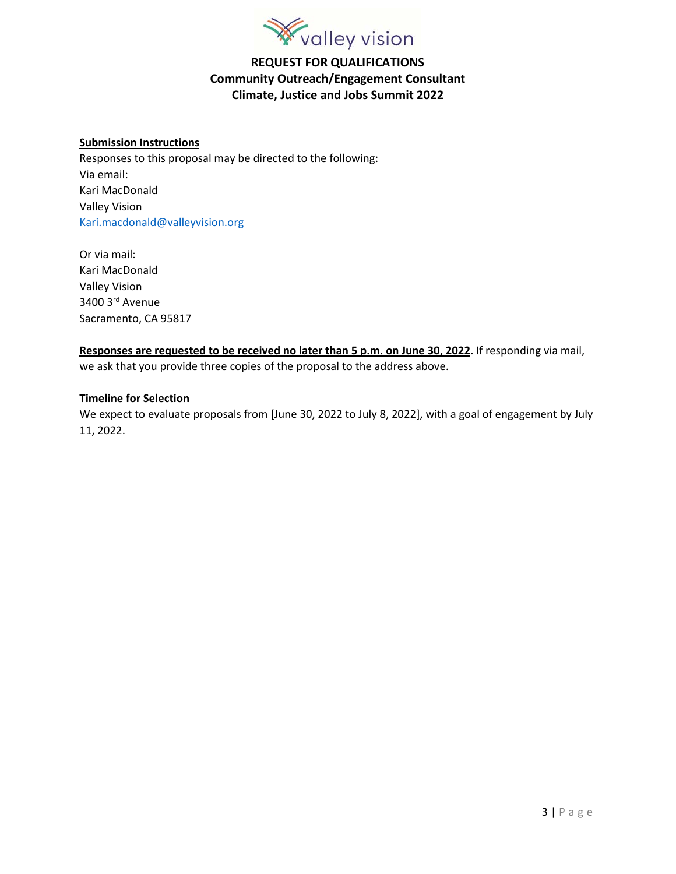

## **REQUEST FOR QUALIFICATIONS Community Outreach/Engagement Consultant Climate, Justice and Jobs Summit 2022**

#### **Submission Instructions**

Responses to this proposal may be directed to the following: Via email: Kari MacDonald Valley Vision [Kari.macdonald@valleyvision.org](mailto:Kari.macdonald@valleyvision.org)

Or via mail: Kari MacDonald Valley Vision 3400 3rd Avenue Sacramento, CA 95817

**Responses are requested to be received no later than 5 p.m. on June 30, 2022**. If responding via mail, we ask that you provide three copies of the proposal to the address above.

#### **Timeline for Selection**

We expect to evaluate proposals from [June 30, 2022 to July 8, 2022], with a goal of engagement by July 11, 2022.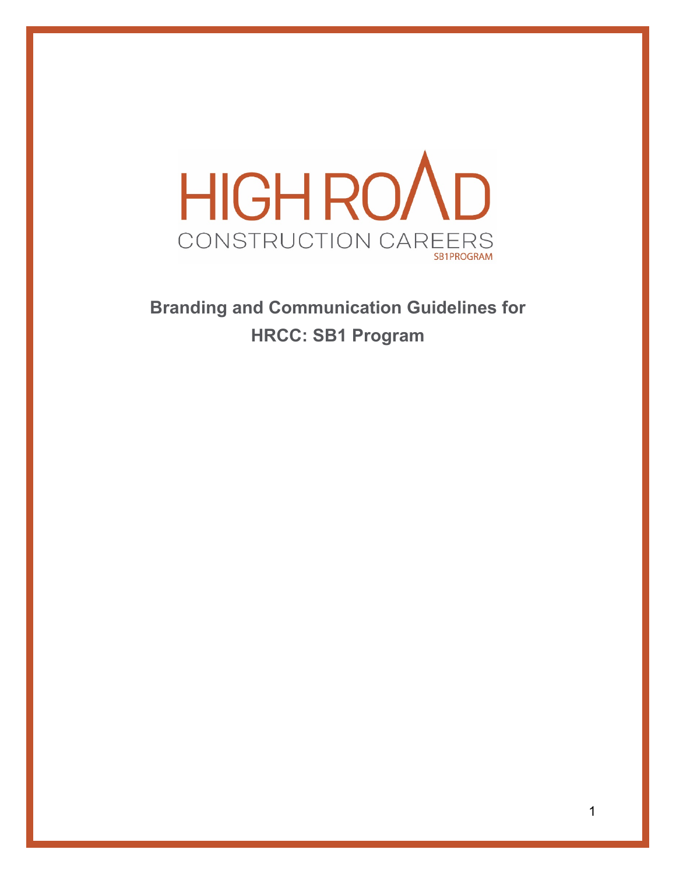

**Branding and Communication Guidelines for HRCC: SB1 Program**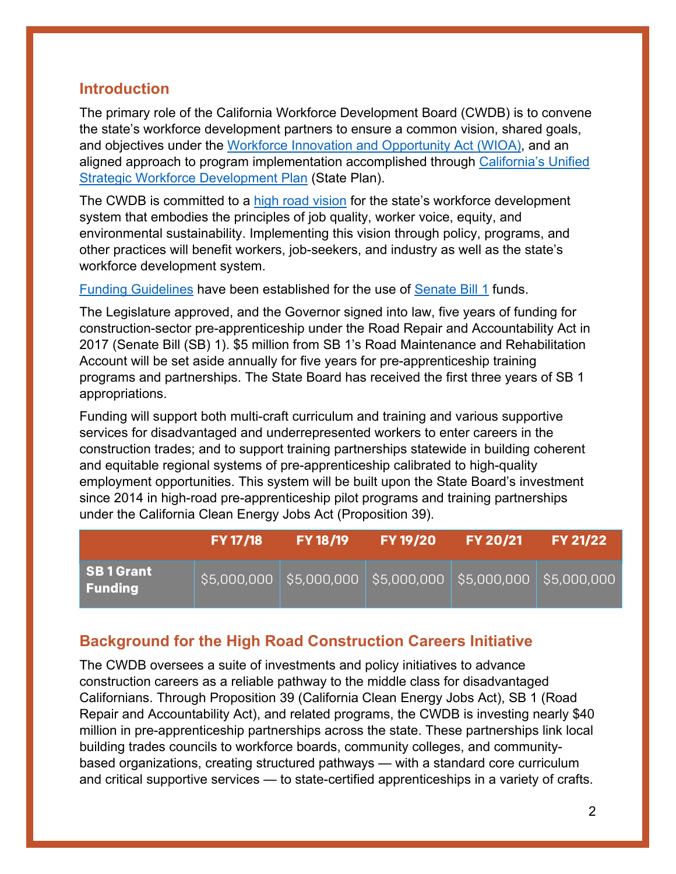## **Introduction**

The primary role of the California Workforce Development Board (CWDB) is to convene the state's workforce development partners to ensure a common vision, shared goals, and objectives under the [Workforce Innovation and Opportunity Act](https://www.doleta.gov/wioa/) (WIOA), and an aligned approach to program implementation accomplished through [California's Unified](https://cwdb.ca.gov/plans_policies/)  [Strategic Workforce Development Plan](https://cwdb.ca.gov/plans_policies/) (State Plan).

The CWDB is committed to a [high road vision](https://cwdb.ca.gov/initiatives/hrcc/) for the state's workforce development system that embodies the principles of job quality, worker voice, equity, and environmental sustainability. Implementing this vision through policy, programs, and other practices will benefit workers, job-seekers, and industry as well as the state's workforce development system.

[Funding Guidelines](https://leginfo.legislature.ca.gov/faces/billNavClient.xhtml?bill_id=201720180SB1) have been established for the use of [Senate Bill 1](https://leginfo.legislature.ca.gov/faces/billNavClient.xhtml?bill_id=201720180SB1) funds.

The Legislature approved, and the Governor signed into law, five years of funding for construction-sector pre-apprenticeship under the Road Repair and Accountability Act in 2017 (Senate Bill (SB) 1). \$5 million from SB 1's Road Maintenance and Rehabilitation Account will be set aside annually for five years for pre-apprenticeship training programs and partnerships. The State Board has received the first three years of SB 1 appropriations.

Funding will support both multi-craft curriculum and training and various supportive services for disadvantaged and underrepresented workers to enter careers in the construction trades; and to support training partnerships statewide in building coherent and equitable regional systems of pre-apprenticeship calibrated to high-quality employment opportunities. This system will be built upon the State Board's investment since 2014 in high-road pre-apprenticeship pilot programs and training partnerships under the California Clean Energy Jobs Act (Proposition 39).

|                            | <b>FY 17/18</b> | <b>FY 18/19</b>                                                           | <b>FY 19/20</b> | $\mathsf{FY}20/21$ | <b>FY 21/22</b> |
|----------------------------|-----------------|---------------------------------------------------------------------------|-----------------|--------------------|-----------------|
| SB1Grant<br><b>Funding</b> |                 | $\frac{1}{2}$ \$5,000,000 \$5,000,000 \$5,000,000 \$5,000,000 \$5,000,000 |                 |                    |                 |

# **Background for the High Road Construction Careers Initiative**

The CWDB oversees a suite of investments and policy initiatives to advance construction careers as a reliable pathway to the middle class for disadvantaged Californians. Through Proposition 39 (California Clean Energy Jobs Act), SB 1 (Road Repair and Accountability Act), and related programs, the CWDB is investing nearly \$40 million in pre-apprenticeship partnerships across the state. These partnerships link local building trades councils to workforce boards, community colleges, and communitybased organizations, creating structured pathways — with a standard core curriculum and critical supportive services — to state-certified apprenticeships in a variety of crafts.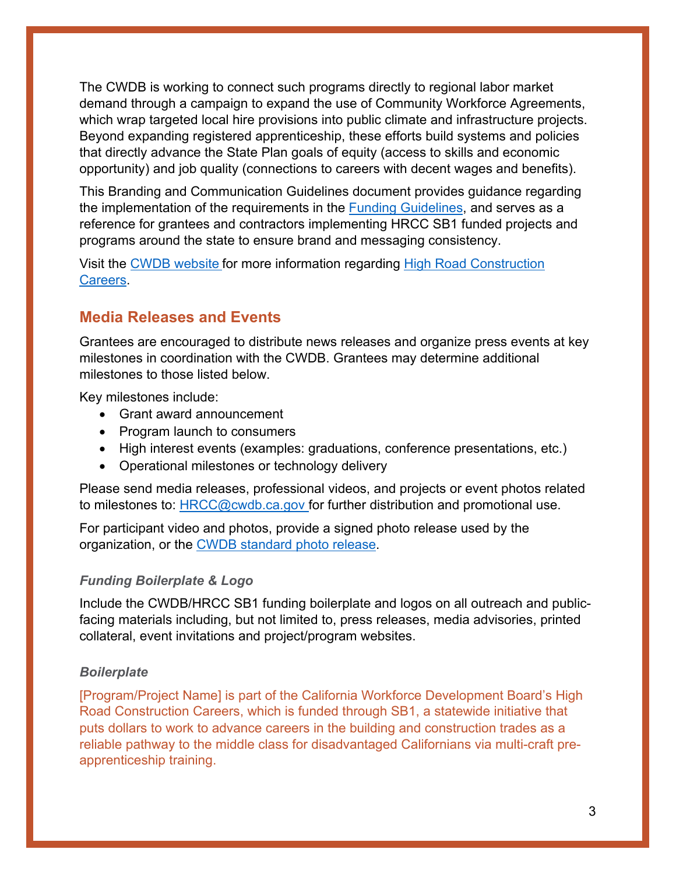The CWDB is working to connect such programs directly to regional labor market demand through a campaign to expand the use of Community Workforce Agreements, which wrap targeted local hire provisions into public climate and infrastructure projects. Beyond expanding registered apprenticeship, these efforts build systems and policies that directly advance the State Plan goals of equity (access to skills and economic opportunity) and job quality (connections to careers with decent wages and benefits).

This Branding and Communication Guidelines document provides guidance regarding the implementation of the requirements in the [Funding Guidelines,](https://leginfo.legislature.ca.gov/faces/billNavClient.xhtml?bill_id=201720180SB1) and serves as a reference for grantees and contractors implementing HRCC SB1 funded projects and programs around the state to ensure brand and messaging consistency.

Visit the [CWDB website](https://cwdb.ca.gov/) for more information regarding [High Road Construction](https://cwdb.ca.gov/initiatives/hrcc/)  [Careers.](https://cwdb.ca.gov/initiatives/hrcc/)

# **Media Releases and Events**

Grantees are encouraged to distribute news releases and organize press events at key milestones in coordination with the CWDB. Grantees may determine additional milestones to those listed below.

Key milestones include:

- Grant award announcement
- Program launch to consumers
- High interest events (examples: graduations, conference presentations, etc.)
- Operational milestones or technology delivery

Please send media releases, professional videos, and projects or event photos related to milestones to: [HRCC@cwdb.ca.gov](mailto:HRCC@cwdb.ca.gov) for further distribution and promotional use.

For participant video and photos, provide a signed photo release used by the organization, or the [CWDB standard photo release.](file://entcwib/cwib-share/Admin%20Group/Communications/Website/About%20Us%20Page/20.11.16%20CWDB%20Photo-Bio%20ReleaseReaderExtend.pdf)

## *Funding Boilerplate & Logo*

Include the CWDB/HRCC SB1 funding boilerplate and logos on all outreach and publicfacing materials including, but not limited to, press releases, media advisories, printed collateral, event invitations and project/program websites.

## *Boilerplate*

[Program/Project Name] is part of the California Workforce Development Board's High Road Construction Careers, which is funded through SB1, a statewide initiative that puts dollars to work to advance careers in the building and construction trades as a reliable pathway to the middle class for disadvantaged Californians via multi-craft preapprenticeship training.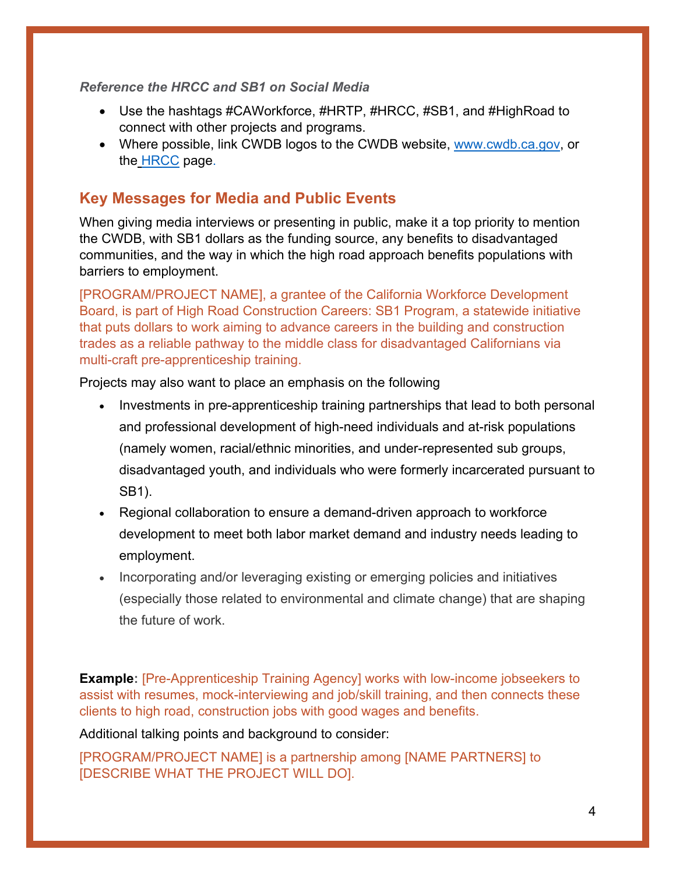### *Reference the HRCC and SB1 on Social Media*

- Use the hashtags #CAWorkforce, #HRTP, #HRCC, #SB1, and #HighRoad to connect with other projects and programs.
- Where possible, link CWDB logos to the CWDB website, [www.cwdb.ca.gov,](http://www.cwdb.ca.gov/) or the [HRCC](https://cwdb.ca.gov/initiatives/hrcc/) page.

# **Key Messages for Media and Public Events**

When giving media interviews or presenting in public, make it a top priority to mention the CWDB, with SB1 dollars as the funding source, any benefits to disadvantaged communities, and the way in which the high road approach benefits populations with barriers to employment.

[PROGRAM/PROJECT NAME], a grantee of the California Workforce Development Board, is part of High Road Construction Careers: SB1 Program, a statewide initiative that puts dollars to work aiming to advance careers in the building and construction trades as a reliable pathway to the middle class for disadvantaged Californians via multi-craft pre-apprenticeship training.

Projects may also want to place an emphasis on the following

- Investments in pre-apprenticeship training partnerships that lead to both personal and professional development of high-need individuals and at-risk populations (namely women, racial/ethnic minorities, and under-represented sub groups, disadvantaged youth, and individuals who were formerly incarcerated pursuant to SB1).
- Regional collaboration to ensure a demand-driven approach to workforce development to meet both labor market demand and industry needs leading to employment.
- Incorporating and/or leveraging existing or emerging policies and initiatives (especially those related to environmental and climate change) that are shaping the future of work.

**Example:** [Pre-Apprenticeship Training Agency] works with low-income jobseekers to assist with resumes, mock-interviewing and job/skill training, and then connects these clients to high road, construction jobs with good wages and benefits.

Additional talking points and background to consider:

[PROGRAM/PROJECT NAME] is a partnership among [NAME PARTNERS] to [DESCRIBE WHAT THE PROJECT WILL DO].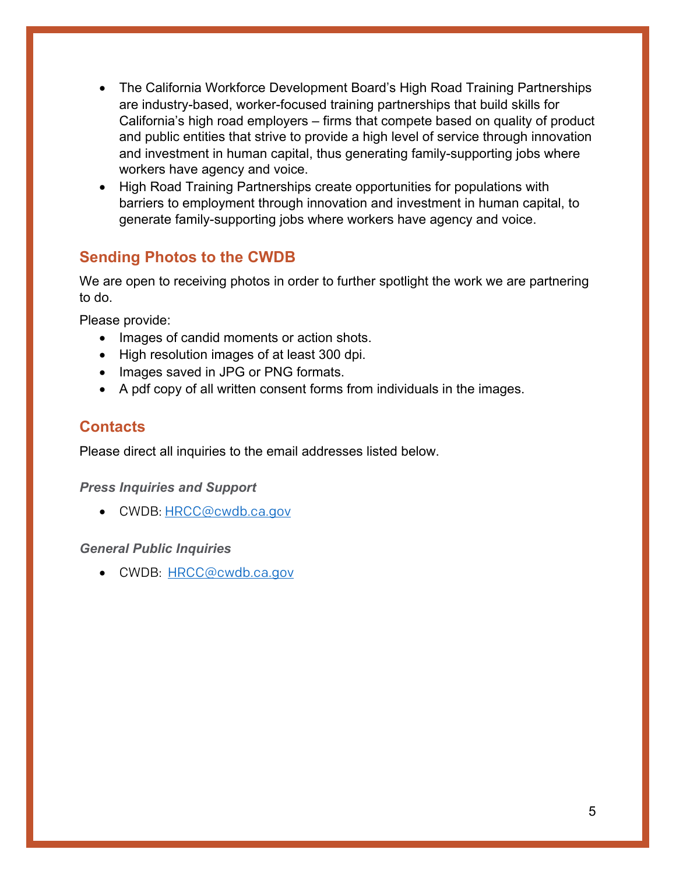- The California Workforce Development Board's High Road Training Partnerships are industry-based, worker-focused training partnerships that build skills for California's high road employers – firms that compete based on quality of product and public entities that strive to provide a high level of service through innovation and investment in human capital, thus generating family-supporting jobs where workers have agency and voice.
- High Road Training Partnerships create opportunities for populations with barriers to employment through innovation and investment in human capital, to generate family-supporting jobs where workers have agency and voice.

# **Sending Photos to the CWDB**

We are open to receiving photos in order to further spotlight the work we are partnering to do.

Please provide:

- Images of candid moments or action shots.
- High resolution images of at least 300 dpi.
- Images saved in JPG or PNG formats.
- A pdf copy of all written consent forms from individuals in the images.

# **Contacts**

Please direct all inquiries to the email addresses listed below.

### *Press Inquiries and Support*

• CWDB: HRCC@cwdb.ca.gov

## *General Public Inquiries*

• CWDB: HRCC@cwdb.ca.gov